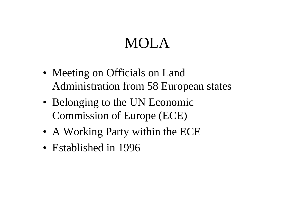# MOLA

- Meeting on Officials on Land Administration from 58 European states
- Belonging to the UN Economic Commission of Europe (ECE)
- A Working Party within the ECE
- Established in 1996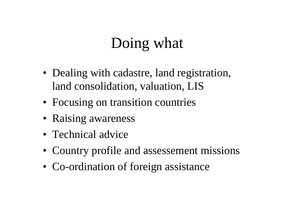# Doing what

- Dealing with cadastre, land registration, land consolidation, valuation, LIS
- Focusing on transition countries
- Raising awareness
- Technical advice
- Country profile and assessement missions
- Co-ordination of foreign assistance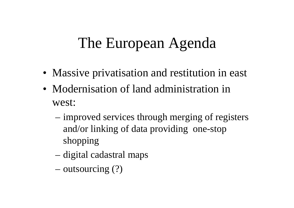### The European Agenda

- Massive privatisation and restitution in east
- Modernisation of land administration in west:
	- improved services through merging of registers and/or linking of data providing one-stop shopping
	- digital cadastral maps
	- outsourcing (?)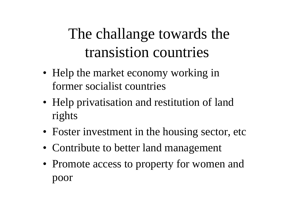# The challange towards the transistion countries

- Help the market economy working in former socialist countries
- Help privatisation and restitution of land rights
- Foster investment in the housing sector, etc
- Contribute to better land management
- Promote access to property for women and poor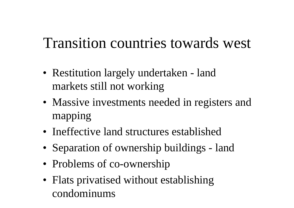## Transition countries towards west

- Restitution largely undertaken land markets still not working
- Massive investments needed in registers and mapping
- Ineffective land structures established
- Separation of ownership buildings land
- Problems of co-ownership
- Flats privatised without establishing condominums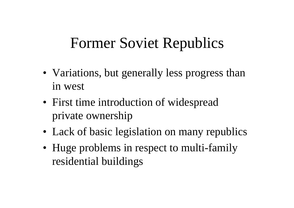#### Former Soviet Republics

- Variations, but generally less progress than in west
- First time introduction of widespread private ownership
- Lack of basic legislation on many republics
- Huge problems in respect to multi-family residential buildings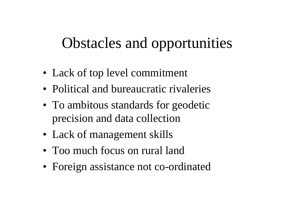## Obstacles and opportunities

- Lack of top level commitment
- Political and bureaucratic rivaleries
- To ambitous standards for geodetic precision and data collection
- Lack of management skills
- Too much focus on rural land
- Foreign assistance not co-ordinated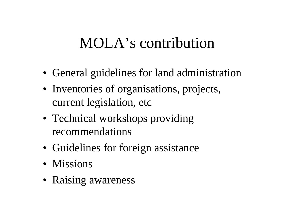#### MOLA's contribution

- General guidelines for land administration
- Inventories of organisations, projects, current legislation, etc
- Technical workshops providing recommendations
- Guidelines for foreign assistance
- Missions
- Raising awareness